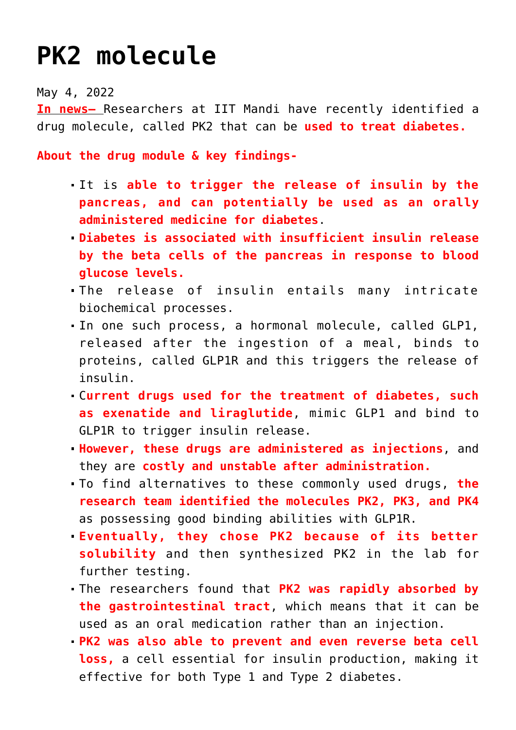## **[PK2 molecule](https://journalsofindia.com/pk2-molecule/)**

May 4, 2022

**In news–** Researchers at IIT Mandi have recently identified a drug molecule, called PK2 that can be **used to treat diabetes.**

**About the drug module & key findings-**

- It is **able to trigger the release of insulin by the pancreas, and can potentially be used as an orally administered medicine for diabetes**.
- **Diabetes is associated with insufficient insulin release by the beta cells of the pancreas in response to blood glucose levels.**
- The release of insulin entails many intricate biochemical processes.
- In one such process, a hormonal molecule, called GLP1, released after the ingestion of a meal, binds to proteins, called GLP1R and this triggers the release of insulin.
- C**urrent drugs used for the treatment of diabetes, such as exenatide and liraglutide**, mimic GLP1 and bind to GLP1R to trigger insulin release.
- **However, these drugs are administered as injections**, and they are **costly and unstable after administration.**
- To find alternatives to these commonly used drugs, **the research team identified the molecules PK2, PK3, and PK4** as possessing good binding abilities with GLP1R.
- **Eventually, they chose PK2 because of its better solubility** and then synthesized PK2 in the lab for further testing.
- The researchers found that **PK2 was rapidly absorbed by the gastrointestinal tract**, which means that it can be used as an oral medication rather than an injection.
- **PK2 was also able to prevent and even reverse beta cell loss,** a cell essential for insulin production, making it effective for both Type 1 and Type 2 diabetes.